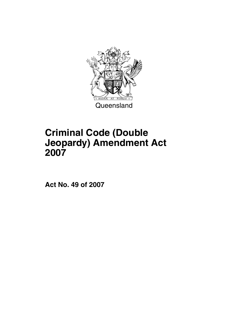

# **Criminal Code (Double Jeopardy) Amendment Act 2007**

**Act No. 49 of 2007**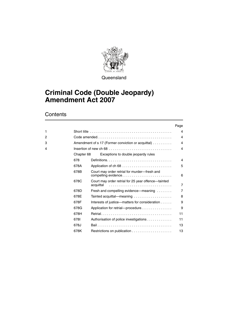

**Queensland** 

## **Criminal Code (Double Jeopardy) Amendment Act 2007**

## **Contents**

|   |            |                                                                     | Page                    |
|---|------------|---------------------------------------------------------------------|-------------------------|
| 1 |            |                                                                     | 4                       |
| 2 |            |                                                                     | 4                       |
| 3 |            | Amendment of s 17 (Former conviction or acquittal)                  | $\overline{\mathbf{4}}$ |
| 4 |            |                                                                     |                         |
|   | Chapter 68 | Exceptions to double jeopardy rules                                 |                         |
|   | 678        |                                                                     | 4                       |
|   | 678A       |                                                                     | 5                       |
|   | 678B       | Court may order retrial for murder-fresh and<br>compelling evidence | 6                       |
|   | 678C       | Court may order retrial for 25 year offence-tainted<br>acquittal    | $\overline{7}$          |
|   | 678D       | Fresh and compelling evidence—meaning                               | $\overline{7}$          |
|   | 678E       | Tainted acquittal—meaning                                           | 8                       |
|   | 678F       | Interests of justice—matters for consideration                      | 9                       |
|   | 678G       | Application for retrial—procedure                                   | 9                       |
|   | 678H       |                                                                     | 11                      |
|   | 6781       | Authorisation of police investigations                              | 11                      |
|   | 678J       |                                                                     | 13                      |
|   | 678K       |                                                                     | 13                      |
|   |            |                                                                     |                         |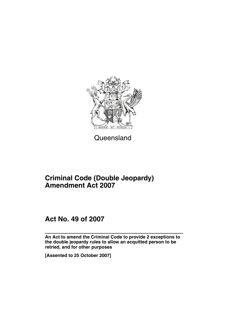

Queensland

## **Criminal Code (Double Jeopardy) Amendment Act 2007**

## **Act No. 49 of 2007**

**An Act to amend the Criminal Code to provide 2 exceptions to the double jeopardy rules to allow an acquitted person to be retried, and for other purposes**

**[Assented to 25 October 2007]**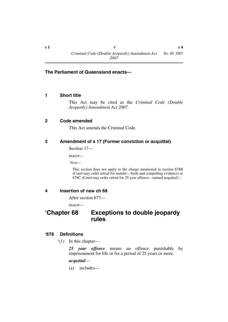## **The Parliament of Queensland enacts—**

## <span id="page-5-0"></span>**1 Short title**

This Act may be cited as the *Criminal Code (Double Jeopardy) Amendment Act 2007*.

## <span id="page-5-1"></span>**2 Code amended**

This Act amends the Criminal Code.

## <span id="page-5-2"></span>**3 Amendment of s 17 (Former conviction or acquittal)**

Section 17—

*insert—*

*'Note*—

This section does not apply to the charge mentioned in section 678B (Court may order retrial for murder—fresh and compelling evidence) or 678C (Court may order retrial for 25 year offence—tainted acquittal).'.

## <span id="page-5-3"></span>**4 Insertion of new ch 68**

After section 677—

*insert—*

## <span id="page-5-4"></span>**'Chapter 68 Exceptions to double jeopardy rules**

## <span id="page-5-5"></span>**'678 Definitions**

'(1) In this chapter—

*25 year offence* means an offence punishable by imprisonment for life or for a period of 25 years or more.

### *acquittal*—

(a) includes—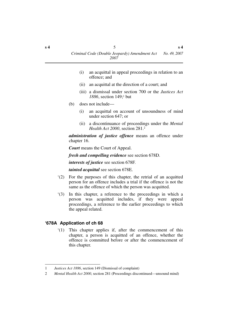- (i) an acquittal in appeal proceedings in relation to an offence; and
- (ii) an acquittal at the direction of a court; and
- (iii) a dismissal under section 700 or the *Justices Act 1886*, section 149;1 but
- (b) does not include—
	- (i) an acquittal on account of unsoundness of mind under section 647; or
	- (ii) a discontinuance of proceedings under the *Mental Health Act 2000*, section 281.2

*administration of justice offence* means an offence under chapter 16.

*Court* means the Court of Appeal.

*fresh and compelling evidence* see section 678D.

*interests of justice* see section 678F.

*tainted acquittal* see section 678E.

- '(2) For the purposes of this chapter, the retrial of an acquitted person for an offence includes a trial if the offence is not the same as the offence of which the person was acquitted.
- '(3) In this chapter, a reference to the proceedings in which a person was acquitted includes, if they were appeal proceedings, a reference to the earlier proceedings to which the appeal related.

## <span id="page-6-0"></span>**'678A Application of ch 68**

'(1) This chapter applies if, after the commencement of this chapter, a person is acquitted of an offence, whether the offence is committed before or after the commencement of this chapter.

<sup>1</sup> *Justices Act 1886*, section 149 (Dismissal of complaint)

<sup>2</sup> *Mental Health Act 2000*, section 281 (Proceedings discontinued—unsound mind)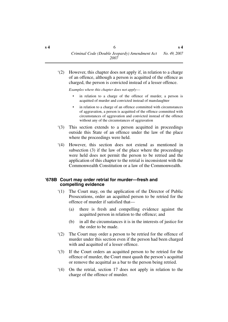'(2) However, this chapter does not apply if, in relation to a charge of an offence, although a person is acquitted of the offence as charged, the person is convicted instead of a lesser offence.

*Examples where this chapter does not apply*—

- in relation to a charge of the offence of murder, a person is acquitted of murder and convicted instead of manslaughter
- in relation to a charge of an offence committed with circumstances of aggravation, a person is acquitted of the offence committed with circumstances of aggravation and convicted instead of the offence without any of the circumstances of aggravation
- '(3) This section extends to a person acquitted in proceedings outside this State of an offence under the law of the place where the proceedings were held.
- '(4) However, this section does not extend as mentioned in subsection (3) if the law of the place where the proceedings were held does not permit the person to be retried and the application of this chapter to the retrial is inconsistent with the Commonwealth Constitution or a law of the Commonwealth.

### <span id="page-7-0"></span>**'678B Court may order retrial for murder—fresh and compelling evidence**

- '(1) The Court may, on the application of the Director of Public Prosecutions, order an acquitted person to be retried for the offence of murder if satisfied that—
	- (a) there is fresh and compelling evidence against the acquitted person in relation to the offence; and
	- (b) in all the circumstances it is in the interests of justice for the order to be made.
- '(2) The Court may order a person to be retried for the offence of murder under this section even if the person had been charged with and acquitted of a lesser offence.
- '(3) If the Court orders an acquitted person to be retried for the offence of murder, the Court must quash the person's acquittal or remove the acquittal as a bar to the person being retried.
- '(4) On the retrial, section 17 does not apply in relation to the charge of the offence of murder.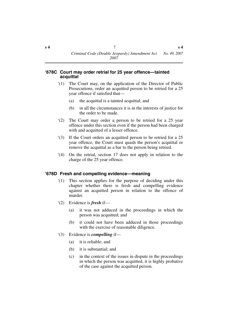#### <span id="page-8-0"></span>**'678C Court may order retrial for 25 year offence—tainted acquittal**

- '(1) The Court may, on the application of the Director of Public Prosecutions, order an acquitted person to be retried for a 25 year offence if satisfied that—
	- (a) the acquittal is a tainted acquittal; and
	- (b) in all the circumstances it is in the interests of justice for the order to be made.
- '(2) The Court may order a person to be retried for a 25 year offence under this section even if the person had been charged with and acquitted of a lesser offence.
- '(3) If the Court orders an acquitted person to be retried for a 25 year offence, the Court must quash the person's acquittal or remove the acquittal as a bar to the person being retried.
- '(4) On the retrial, section 17 does not apply in relation to the charge of the 25 year offence.

## <span id="page-8-1"></span>**'678D Fresh and compelling evidence—meaning**

- '(1) This section applies for the purpose of deciding under this chapter whether there is fresh and compelling evidence against an acquitted person in relation to the offence of murder.
- '(2) Evidence is *fresh* if—
	- (a) it was not adduced in the proceedings in which the person was acquitted; and
	- (b) it could not have been adduced in those proceedings with the exercise of reasonable diligence.
- '(3) Evidence is *compelling* if—
	- (a) it is reliable; and
	- (b) it is substantial; and
	- (c) in the context of the issues in dispute in the proceedings in which the person was acquitted, it is highly probative of the case against the acquitted person.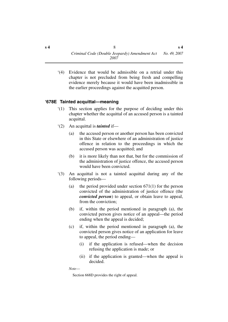'(4) Evidence that would be admissible on a retrial under this chapter is not precluded from being fresh and compelling evidence merely because it would have been inadmissible in the earlier proceedings against the acquitted person.

## <span id="page-9-0"></span>**'678E Tainted acquittal—meaning**

- '(1) This section applies for the purpose of deciding under this chapter whether the acquittal of an accused person is a tainted acquittal.
- '(2) An acquittal is *tainted* if—
	- (a) the accused person or another person has been convicted in this State or elsewhere of an administration of justice offence in relation to the proceedings in which the accused person was acquitted; and
	- (b) it is more likely than not that, but for the commission of the administration of justice offence, the accused person would have been convicted.
- '(3) An acquittal is not a tainted acquittal during any of the following periods—
	- (a) the period provided under section  $671(1)$  for the person convicted of the administration of justice offence (the *convicted person*) to appeal, or obtain leave to appeal, from the conviction;
	- (b) if, within the period mentioned in paragraph (a), the convicted person gives notice of an appeal—the period ending when the appeal is decided;
	- (c) if, within the period mentioned in paragraph (a), the convicted person gives notice of an application for leave to appeal, the period ending—
		- (i) if the application is refused—when the decision refusing the application is made; or
		- (ii) if the application is granted—when the appeal is decided.

*Note*—

Section 668D provides the right of appeal.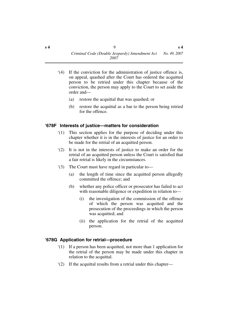- '(4) If the conviction for the administration of justice offence is, on appeal, quashed after the Court has ordered the acquitted person to be retried under this chapter because of the conviction, the person may apply to the Court to set aside the order and—
	- (a) restore the acquittal that was quashed; or
	- (b) restore the acquittal as a bar to the person being retried for the offence.

## <span id="page-10-0"></span>**'678F Interests of justice—matters for consideration**

- '(1) This section applies for the purpose of deciding under this chapter whether it is in the interests of justice for an order to be made for the retrial of an acquitted person.
- '(2) It is not in the interests of justice to make an order for the retrial of an acquitted person unless the Court is satisfied that a fair retrial is likely in the circumstances.
- '(3) The Court must have regard in particular to—
	- (a) the length of time since the acquitted person allegedly committed the offence; and
	- (b) whether any police officer or prosecutor has failed to act with reasonable diligence or expedition in relation to—
		- (i) the investigation of the commission of the offence of which the person was acquitted and the prosecution of the proceedings in which the person was acquitted; and
		- (ii) the application for the retrial of the acquitted person.

## <span id="page-10-1"></span>**'678G Application for retrial—procedure**

- '(1) If a person has been acquitted, not more than 1 application for the retrial of the person may be made under this chapter in relation to the acquittal.
- '(2) If the acquittal results from a retrial under this chapter—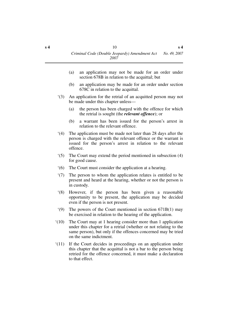- (a) an application may not be made for an order under section 678B in relation to the acquittal; but
- (b) an application may be made for an order under section 678C in relation to the acquittal.
- '(3) An application for the retrial of an acquitted person may not be made under this chapter unless—
	- (a) the person has been charged with the offence for which the retrial is sought (the *relevant offence*); or
	- (b) a warrant has been issued for the person's arrest in relation to the relevant offence.
- '(4) The application must be made not later than 28 days after the person is charged with the relevant offence or the warrant is issued for the person's arrest in relation to the relevant offence.
- '(5) The Court may extend the period mentioned in subsection (4) for good cause.
- '(6) The Court must consider the application at a hearing.
- '(7) The person to whom the application relates is entitled to be present and heard at the hearing, whether or not the person is in custody.
- '(8) However, if the person has been given a reasonable opportunity to be present, the application may be decided even if the person is not present.
- '(9) The powers of the Court mentioned in section 671B(1) may be exercised in relation to the hearing of the application.
- '(10) The Court may at 1 hearing consider more than 1 application under this chapter for a retrial (whether or not relating to the same person), but only if the offences concerned may be tried on the same indictment.
- '(11) If the Court decides in proceedings on an application under this chapter that the acquittal is not a bar to the person being retried for the offence concerned, it must make a declaration to that effect.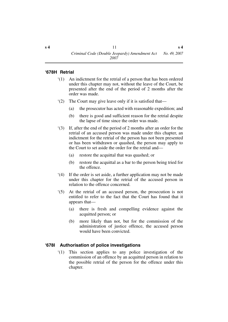#### <span id="page-12-0"></span>**'678H Retrial**

- '(1) An indictment for the retrial of a person that has been ordered under this chapter may not, without the leave of the Court, be presented after the end of the period of 2 months after the order was made.
- '(2) The Court may give leave only if it is satisfied that—
	- (a) the prosecutor has acted with reasonable expedition; and
	- (b) there is good and sufficient reason for the retrial despite the lapse of time since the order was made.
- '(3) If, after the end of the period of 2 months after an order for the retrial of an accused person was made under this chapter, an indictment for the retrial of the person has not been presented or has been withdrawn or quashed, the person may apply to the Court to set aside the order for the retrial and—
	- (a) restore the acquittal that was quashed; or
	- (b) restore the acquittal as a bar to the person being tried for the offence.
- '(4) If the order is set aside, a further application may not be made under this chapter for the retrial of the accused person in relation to the offence concerned.
- '(5) At the retrial of an accused person, the prosecution is not entitled to refer to the fact that the Court has found that it appears that—
	- (a) there is fresh and compelling evidence against the acquitted person; or
	- (b) more likely than not, but for the commission of the administration of justice offence, the accused person would have been convicted.

### <span id="page-12-1"></span>**'678I Authorisation of police investigations**

'(1) This section applies to any police investigation of the commission of an offence by an acquitted person in relation to the possible retrial of the person for the offence under this chapter.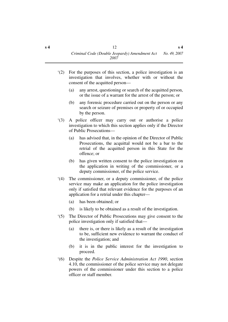- '(2) For the purposes of this section, a police investigation is an investigation that involves, whether with or without the consent of the acquitted person—
	- (a) any arrest, questioning or search of the acquitted person, or the issue of a warrant for the arrest of the person; or
	- (b) any forensic procedure carried out on the person or any search or seizure of premises or property of or occupied by the person.
- '(3) A police officer may carry out or authorise a police investigation to which this section applies only if the Director of Public Prosecutions—
	- (a) has advised that, in the opinion of the Director of Public Prosecutions, the acquittal would not be a bar to the retrial of the acquitted person in this State for the offence; or
	- (b) has given written consent to the police investigation on the application in writing of the commissioner, or a deputy commissioner, of the police service.
- '(4) The commissioner, or a deputy commissioner, of the police service may make an application for the police investigation only if satisfied that relevant evidence for the purposes of an application for a retrial under this chapter—
	- (a) has been obtained; or
	- (b) is likely to be obtained as a result of the investigation.
- '(5) The Director of Public Prosecutions may give consent to the police investigation only if satisfied that—
	- (a) there is, or there is likely as a result of the investigation to be, sufficient new evidence to warrant the conduct of the investigation; and
	- (b) it is in the public interest for the investigation to proceed.
- '(6) Despite the *Police Service Administration Act 1990*, section 4.10, the commissioner of the police service may not delegate powers of the commissioner under this section to a police officer or staff member.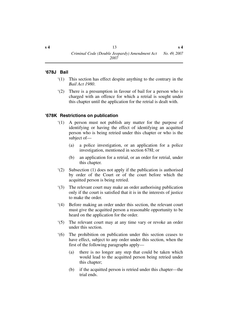#### <span id="page-14-0"></span>**'678J Bail**

- '(1) This section has effect despite anything to the contrary in the *Bail Act 1980*.
- '(2) There is a presumption in favour of bail for a person who is charged with an offence for which a retrial is sought under this chapter until the application for the retrial is dealt with.

## <span id="page-14-1"></span>**'678K Restrictions on publication**

- '(1) A person must not publish any matter for the purpose of identifying or having the effect of identifying an acquitted person who is being retried under this chapter or who is the subject of—
	- (a) a police investigation, or an application for a police investigation, mentioned in section 678I; or
	- (b) an application for a retrial, or an order for retrial, under this chapter.
- '(2) Subsection (1) does not apply if the publication is authorised by order of the Court or of the court before which the acquitted person is being retried.
- '(3) The relevant court may make an order authorising publication only if the court is satisfied that it is in the interests of justice to make the order.
- '(4) Before making an order under this section, the relevant court must give the acquitted person a reasonable opportunity to be heard on the application for the order.
- '(5) The relevant court may at any time vary or revoke an order under this section.
- '(6) The prohibition on publication under this section ceases to have effect, subject to any order under this section, when the first of the following paragraphs apply—
	- (a) there is no longer any step that could be taken which would lead to the acquitted person being retried under this chapter;
	- (b) if the acquitted person is retried under this chapter—the trial ends.